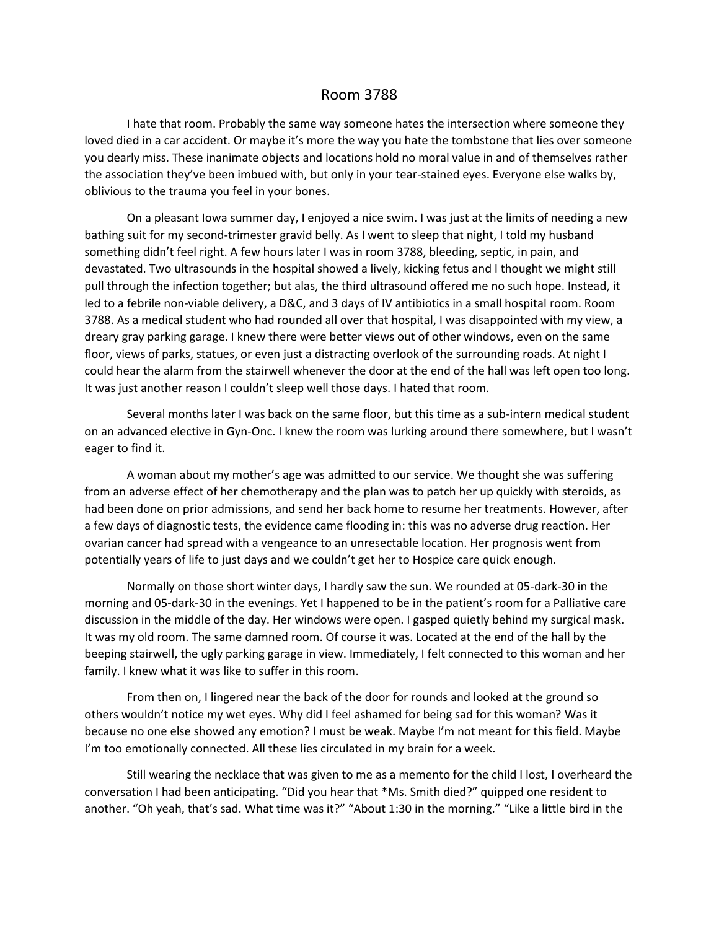## Room 3788

I hate that room. Probably the same way someone hates the intersection where someone they loved died in a car accident. Or maybe it's more the way you hate the tombstone that lies over someone you dearly miss. These inanimate objects and locations hold no moral value in and of themselves rather the association they've been imbued with, but only in your tear-stained eyes. Everyone else walks by, oblivious to the trauma you feel in your bones.

On a pleasant Iowa summer day, I enjoyed a nice swim. I was just at the limits of needing a new bathing suit for my second-trimester gravid belly. As I went to sleep that night, I told my husband something didn't feel right. A few hours later I was in room 3788, bleeding, septic, in pain, and devastated. Two ultrasounds in the hospital showed a lively, kicking fetus and I thought we might still pull through the infection together; but alas, the third ultrasound offered me no such hope. Instead, it led to a febrile non-viable delivery, a D&C, and 3 days of IV antibiotics in a small hospital room. Room 3788. As a medical student who had rounded all over that hospital, I was disappointed with my view, a dreary gray parking garage. I knew there were better views out of other windows, even on the same floor, views of parks, statues, or even just a distracting overlook of the surrounding roads. At night I could hear the alarm from the stairwell whenever the door at the end of the hall was left open too long. It was just another reason I couldn't sleep well those days. I hated that room.

Several months later I was back on the same floor, but this time as a sub-intern medical student on an advanced elective in Gyn-Onc. I knew the room was lurking around there somewhere, but I wasn't eager to find it.

A woman about my mother's age was admitted to our service. We thought she was suffering from an adverse effect of her chemotherapy and the plan was to patch her up quickly with steroids, as had been done on prior admissions, and send her back home to resume her treatments. However, after a few days of diagnostic tests, the evidence came flooding in: this was no adverse drug reaction. Her ovarian cancer had spread with a vengeance to an unresectable location. Her prognosis went from potentially years of life to just days and we couldn't get her to Hospice care quick enough.

Normally on those short winter days, I hardly saw the sun. We rounded at 05-dark-30 in the morning and 05-dark-30 in the evenings. Yet I happened to be in the patient's room for a Palliative care discussion in the middle of the day. Her windows were open. I gasped quietly behind my surgical mask. It was my old room. The same damned room. Of course it was. Located at the end of the hall by the beeping stairwell, the ugly parking garage in view. Immediately, I felt connected to this woman and her family. I knew what it was like to suffer in this room.

From then on, I lingered near the back of the door for rounds and looked at the ground so others wouldn't notice my wet eyes. Why did I feel ashamed for being sad for this woman? Was it because no one else showed any emotion? I must be weak. Maybe I'm not meant for this field. Maybe I'm too emotionally connected. All these lies circulated in my brain for a week.

Still wearing the necklace that was given to me as a memento for the child I lost, I overheard the conversation I had been anticipating. "Did you hear that \*Ms. Smith died?" quipped one resident to another. "Oh yeah, that's sad. What time was it?" "About 1:30 in the morning." "Like a little bird in the